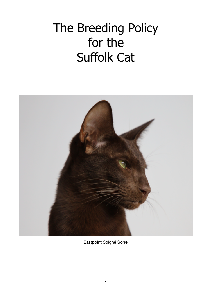# The Breeding Policy for the Suffolk Cat



Eastpoint Soigné Sorrel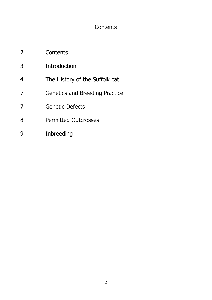# **Contents**

- 2 Contents
- 3 Introduction
- 4 The History of the Suffolk cat
- 7 Genetics and Breeding Practice
- 7 Genetic Defects
- 8 **Permitted Outcrosses**
- 9 Inbreeding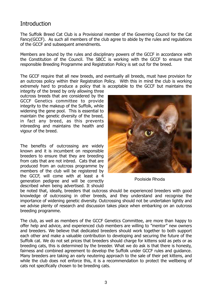### **Introduction**

The Suffolk Breed Cat Club is a Provisional member of the Governing Council for the Cat Fancy(GCCF). As such all members of the club agree to abide by the rules and regulations of the GCCF and subsequent amendments.

Members are bound by the rules and disciplinary powers of the GCCF in accordance with the Constitution of the Council. The SBCC is working with the GCCF to ensure that responsible Breeding Programme and Registration Policy is set out for the breed.

The GCCF require that all new breeds, and eventually all breeds, must have provision for an outcross policy within their Registration Policy. With this in mind the club is working extremely hard to produce a policy that is acceptable to the GCCF but maintains the

integrity of the breed by only allowing three outcross breeds that are considered by the GCCF Genetics committee to provide integrity to the makeup of the Suffolk, while widening the gene pool. This is essential to maintain the genetic diversity of the breed, in fact any breed, as this prevents inbreeding and maintains the health and vigour of the breed.

The benefits of outcrossing are widely known and it is incumbent on responsible breeders to ensure that they are breeding from cats that are not inbred. Cats that are produced from an outcross programme by members of the club will be registered by the GCCF, will come with at least a 4 generation pedigree and will be correctly described when being advertised. It should



Poolside Rhoda

be noted that, ideally, breeders that outcross should be experienced breeders with good knowledge of outcrossing in other breeds, and they understand and recognise the importance of widening genetic diversity. Outcrossing should not be undertaken lightly and we advise plenty of research and discussion takes place when embarking on an outcross breeding programme.

The club, as well as members of the GCCF Genetics Committee, are more than happy to offer help and advice, and experienced club members are willing to "mentor" new owners and breeders. We believe that dedicated breeders should work together to both support each other and make a valuable contribution to developing and securing the future of the Suffolk cat. We do not set prices that breeders should charge for kittens sold as pets or as breeding cats, this is determined by the breeder. What we do ask is that there is honesty, fairness and combined agreement to develop the Suffolk under GCCF rules and guidance. Many breeders are taking an early neutering approach to the sale of their pet kittens, and while the club does not enforce this, it is a recommendation to protect the wellbeing of cats not specifically chosen to be breeding cats.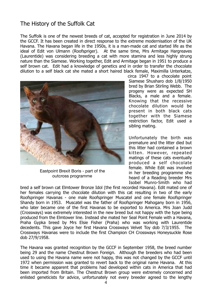## The History of the Suffolk Cat

The Suffolk is one of the newest breeds of cat, accepted for registration in June 2014 by the GCCF. It has been created in direct response to the extreme modernisation of the UK Havana. The Havana began life in the 1950s, it is a man-made cat and started life as the ideal of Edit von Ulmann (Roofspriger). At the same time, Mrs Armitage Hargreaves (Laurentide) was considering breeding a cat with more stamina and less highly strung nature than the Siamese. Working together, Edit and Armitage began in 1951 to produce a self brown cat. Edit had a knowledge of genetics and in order to transfer the chocolate dilution to a self black cat she mated a short haired black female, Maximilla Unterkatze,



Eastpoint Brexit Boris - part of the outcross programme

circa 1947 to a chocolate point Siamese Shusharo dob 1/8/1950 bred by Brian Stirling Webb. The progeny were as expected SH Blacks, a male and a female. Knowing that the recessive chocolate dilution would be present in both black cats together with the Siamese restriction factor, Edit used a sibling mating.

Unfortunately the birth was premature and the litter died but this litter had contained a brown kitten. However, repeated matings of these cats eventually produced a self chocolate female. While Edit was involved in her breeding programme she heard of a Reading breeder Mrs Isobel Munro-Smith who had

bred a self brown cat Elmtower Bronze Idol (the first recorded Havana). Edit mated one of her females carrying the chocolate dilution with this cat resulting in two of the early Roofspringer Havanas - one male Roofspringer Muscatel and one female Roofspringer Shandy born in 1953. Muscatel was the father of Roofspringer Mahogany born in 1956, who later became one of the first Havanas to be exported to America. Mrs Joan Judd (Crossways) was extremely interested in the new breed but not happy with the type being produced from the Elmtower line. Instead she mated her Seal Point Female with a Havana, Praha Gypka breed by Mrs Elsie Fisher (Praha) who was working with Laurentide decedents. This gave Joyce her first Havana Crossways Velvet Toy dob 7/3/1955. The Crossways Havanas were to include the first Champion CH Crossways Honeysuckle Rose dob 27/9/1958.

The Havana was granted recognition by the GCCF in September 1958, the breed number being 29 and the name Chestnut Brown Foreign. Although the breeders who had been used to using the Havana name were not happy, this was not changed by the GCCF until 1972 when permission was granted to revert back to the original name Havana. At this time it became apparent that problems had developed within cats in America that had been imported from Britain. The Chestnut Brown group were extremely concerned and enlisted geneticists for advice, unfortunately not every breeder agreed to the lengthy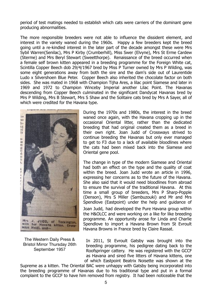period of test matings needed to establish which cats were carriers of the dominant gene producing abnormalities.

The more responsible breeders were not able to influence the dissident element, and interest in the variety waned during the 1960s. Happy a few breeders kept the breed going until a re-kindled interest in the later part of the decade amongst these were Mrs Sybil Warren(Senilac), Mrs P Kirby (Crumberhill), Miss Swer (Elvyne), Mrs St Erme Cardew (Sterme) and Mrs Beryl Stewart (Sweetthorpe). Renaissance of the breed occurred when a female self brown kitten appeared in a breeding programme for the Foreign White cat, Scintilla Copper Beech dob 29/4/1967 bred by Miss P Turner owned by Mrs P Wilding, was some eight generations away from both the sire and the dam's side out of Laurentide Ludo x Silvershoen Blue Peter. Copper Beech also inherited the chocolate factor on both sides. She was mated in 1968 with Champion Tijha Ares, a lilac point Siamese and later in 1969 and 1972 to Champion Winceby Imperial another Lilac Point. The Havanas descending from Copper Beech culminated in the significant Dandycat Havanas bred by Mrs P Wilding, Mrs B Stewart, Mrs S Shaw and the Solitaire cats bred by Mrs A Sayer, all of which were credited for the Havana type.



The Western Daily Press & Bristol Mirror Thursday 26th September 1957

During the 1970s and 1980s, the interest in the breed waned once again, with the Havana cropping up in the occasional Oriental litter, rather than the dedicated breeding that had original created them as a breed in their own right. Joan Judd of Crossways strived to continue breeding the Havanas but only ever managed to get to F3 due to a lack of available bloodlines where the cats had been mixed back into the Siamese and Oriental gene pool.

The change in type of the modern Siamese and Oriental had both an effect on the type and the quality of coat within the breed. Joan Judd wrote an article in 1996, expressing her concerns as to the future of the Havana. She also said that it would need bloodlines from abroad to ensure the survival of the traditional Havana. At this time a small group of breeders, Mrs P Sharp-Popple (Denson), Mrs S Miller (Sambuzouki) and Mr and Mrs Spendlove (Eastpoint) under the help and guidance of Joan Judd, had developed the Pure Havana group within the H&OLCC and were working on a like for like breeding programme. An opportunity arose for Linda and Charlie Spendlove to import a Havana Brown from St Evroult Havana Browns in France bred by Claire Rassat.

In 2011, St Evroult Gatsby was brought into the breeding programme, his pedigree dating back to the Roofspringer cattery. He was registered with the GCCF as Havana and sired five litters of Havana kittens, one of which Eastpoint Beatrix Noisette was shown at the

Supreme as a kitten. The Oriental BAC were unhappy with Gatsby being incorporated into the breeding programme of Havanas due to his traditional type and put in a formal complaint to the GCCF to have him removed from registry. It had been noticeable that the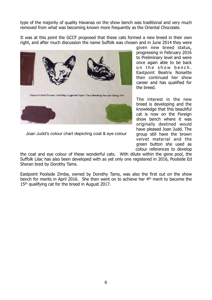type of the majority of quality Havanas on the show bench was traditional and very much removed from what was becoming known more frequently as the Oriental Chocolate.

It was at this point the GCCF proposed that these cats formed a new breed in their own right, and after much discussion the name Suffolk was chosen and in June 2014 they were



Joan Judd's colour chart depicting coat & eye colour

given new breed status, progressing in February 2016 to Preliminary level and were once again able to be back on the show bench. Eastpoint Beatrix Noisette then continued her show career and has qualified for the breed.

The interest in the new breed is developing and the knowledge that this beautiful cat is now on the Foreign show bench where it was originally destined would have pleased Joan Judd. The group still have the brown velvet material and the green button she used as colour references to develop

the coat and eye colour of these wonderful cats. With dilute within the gene pool, the Suffolk Lilac has also been developed with as yet only one registered in 2016, Poolside Ed Sheran bred by Dorothy Tams.

Eastpoint Poolside Zimba, owned by Dorothy Tams, was also the first out on the show bench for merits in April 2016. She then went on to achieve her 4th merit to become the 15<sup>th</sup> qualifying cat for the breed in August 2017.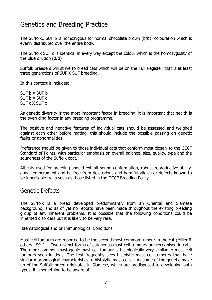# Genetics and Breeding Practice

The Suffolk...SUF b is homozygous for normal chocolate brown (b/b) colouration which is evenly distributed over the entire body.

The Suffolk SUF c is identical in every way except the colour which is the homozygosity of the blue dilution (d/d)

Suffolk breeders will strive to breed cats which will be on the Full Register, that is at least three generations of SUF X SUF breeding.

In this context it includes:

SUF b X SUF b  $S$ UF b  $X$   $S$ UF  $c$ SUF c X SUF c

As genetic diversity is the most important factor in breeding, it is important that health is the overriding factor in any breeding programme.

The positive and negative features of individual cats should be assessed and weighed against each other before mating, this should include the possible passing on genetic faults or abnormalities.

Preference should be given to those individual cats that conform most closely to the GCCF Standard of Points, with particular emphasis on overall balance, size, quality, type and the soundness of the Suffolk coat.

All cats used for breeding should exhibit sound conformation, robust reproductive ability, good temperament and be free from deleterious and harmful alleles or defects known to be inheritable traits such as those listed in the GCCF Breeding Policy.

#### Genetic Defects

The Suffolk is a breed developed predominantly from an Oriental and Siamese background, and as of yet no reports have been made throughout the existing breeding group of any inherent problems. It is possible that the following conditions could be inherited disorders but it is likely to be very rare.

Haematological and or Immunological Conditions

Mast cell tumours are reported to be the second most common tumour in the cat (Miller & others 1991). Two distinct forms of cutaneous mast cell tumours are recognised in cats. The more common mastogenic mast cell tumour is histologically very similar to mast cell tumours seen in dogs. The test frequently sees histolytic mast cell tumours that have similar morphological characteristics to histolytic mast cells. As some of the genetic make up of the Suffolk breed originates in Siamese, which are predisposed to developing both types, it is something to be aware of.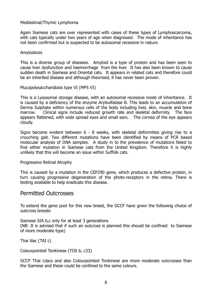#### Mediastinal/Thymic Lymphoma

Again Siamese cats are over represented with cases of these types of Lymphoscarcoma, with cats typically under two years of age when diagnosed. The mode of inheritance has not been confirmed but is suspected to be autosomal recessive in nature.

#### Amyloidosis

This is a diverse group of diseases. Amyloid is a type of protein and has been seen to cause liver dysfunction and haemorrhage from the liver. It has also been known to cause sudden death in Siamese and Oriental cats. It appears in related cats and therefore could be an inherited disease and although theorised, it has never been proven.

Mucopolysaccharidosis type VI (MPS VI)

This is a Lysosomal storage disease, with an autosomal recessive mode of inheritance. It is caused by a deficiency of the enzyme Arylsulfatase B. This leads to an accumulation of Derma Sulphate within numerous cells of the body including liver, skin, muscle and bone marrow. Clinical signs include reduced growth rate and skeletal deformity. The face appears flattened, with wide spread eyes and small ears. The cornea of the eye appears cloudy.

Signs become evident between 6 - 8 weeks, with skeletal deformities giving rise to a crouching gait. Two different mutations have been identified by means of PCR based molecular analysis of DNA samples. A study in to the prevalence of mutations failed to find either mutation in Siamese cats from the United Kingdom. Therefore it is highly unlikely that this will become an issue within Suffolk cats.

Progressive Retinal Atrophy

This is caused by a mutation in the CEP290 gene, which produces a defective protein, in turn causing progressive degeneration of the photo-receptors in the retina. There is testing available to help eradicate this disease.

#### Permitted Outcrosses

To extend the gene pool for this new breed, the GCCF have given the following choice of outcross breeds:

Siamese SIA b,c only for at least 3 generations

(NB: It is advised that if such an outcross is planned this should be confined to Siamese of more moderate type)

Thai lilac (TAI c)

Colourpointed Tonkinese (TOS b, c33)

GCCF Thai Lilacs and also Colourpointed Tonkinese are more moderate outcrosses than the Siamese and these could be confined to the same colours.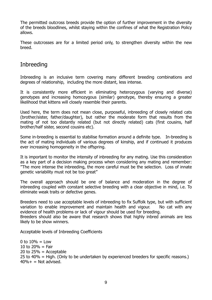The permitted outcross breeds provide the option of further improvement in the diversity of the breeds bloodlines, whilst staying within the confines of what the Registration Policy allows.

These outcrosses are for a limited period only, to strengthen diversity within the new breed.

## Inbreeding

Inbreeding is an inclusive term covering many different breeding combinations and degrees of relationship, including the more distant, less intense.

It is consistently more efficient in eliminating heterozygous (varying and diverse) genotypes and increasing homozygous (similar) genotype, thereby ensuring a greater likelihood that kittens will closely resemble their parents.

Used here, the term does not mean close, purposeful, inbreeding of closely related cats (brother/sister, father/daughter), but rather the moderate form that results from the mating of not too distantly related (but not directly related) cats (first cousins, half brother/half sister, second cousins etc).

Some in-breeding is essential to stabilise formation around a definite type. In-breeding is the act of mating individuals of various degrees of kinship, and if continued it produces ever increasing homogeneity in the offspring.

It is important to monitor the intensity of inbreeding for any mating. Use this consideration as a key part of a decision making process when considering any mating and remember: "The more intense the inbreeding, the more careful must be the selection. Loss of innate genetic variability must not be too great"

The overall approach should be one of balance and moderation in the degree of inbreeding coupled with constant selective breeding with a clear objective in mind, i.e. To eliminate weak traits or defective genes.

Breeders need to use acceptable levels of inbreeding to fix Suffolk type, but with sufficient variation to enable improvement and maintain health and vigour. No cat with any evidence of health problems or lack of vigour should be used for breeding.

Breeders should also be aware that research shows that highly inbred animals are less likely to be show winners.

Acceptable levels of Inbreeding Coefficients

0 to  $10% =$  Low 10 to  $20% = \text{Fair}$ 20 to  $25% =$  Acceptable 25 to 40% = High. (Only to be undertaken by experienced breeders for specific reasons.)  $40\% +$  = Not advised.